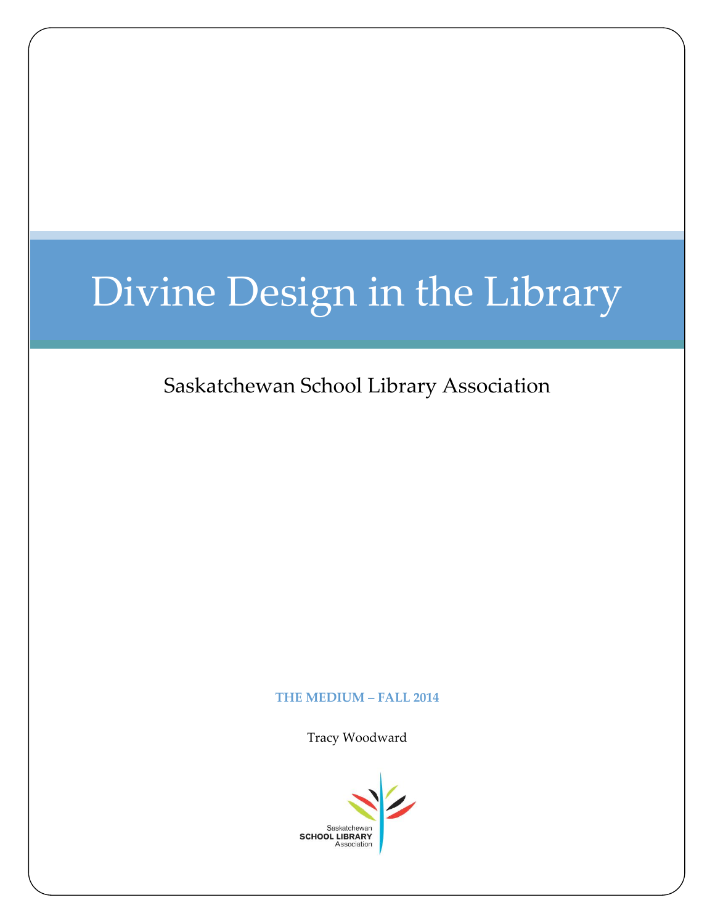# Divine Design in the Library

### Saskatchewan School Library Association

#### **THE MEDIUM – FALL 2014**

Tracy Woodward

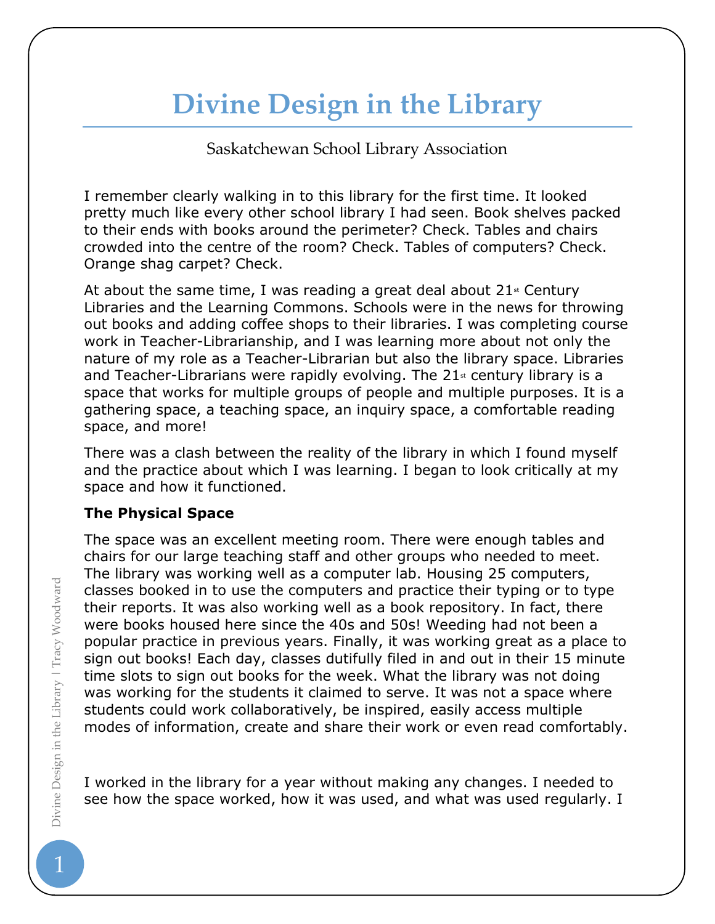## **Divine Design in the Library**

Saskatchewan School Library Association

I remember clearly walking in to this library for the first time. It looked pretty much like every other school library I had seen. Book shelves packed to their ends with books around the perimeter? Check. Tables and chairs crowded into the centre of the room? Check. Tables of computers? Check. Orange shag carpet? Check.

At about the same time, I was reading a great deal about  $21$ <sup>st</sup> Century Libraries and the Learning Commons. Schools were in the news for throwing out books and adding coffee shops to their libraries. I was completing course work in Teacher-Librarianship, and I was learning more about not only the nature of my role as a Teacher-Librarian but also the library space. Libraries and Teacher-Librarians were rapidly evolving. The  $21<sup>st</sup>$  century library is a space that works for multiple groups of people and multiple purposes. It is a gathering space, a teaching space, an inquiry space, a comfortable reading space, and more!

There was a clash between the reality of the library in which I found myself and the practice about which I was learning. I began to look critically at my space and how it functioned.

#### **The Physical Space**

The space was an excellent meeting room. There were enough tables and chairs for our large teaching staff and other groups who needed to meet. The library was working well as a computer lab. Housing 25 computers, classes booked in to use the computers and practice their typing or to type their reports. It was also working well as a book repository. In fact, there were books housed here since the 40s and 50s! Weeding had not been a popular practice in previous years. Finally, it was working great as a place to sign out books! Each day, classes dutifully filed in and out in their 15 minute time slots to sign out books for the week. What the library was not doing was working for the students it claimed to serve. It was not a space where students could work collaboratively, be inspired, easily access multiple modes of information, create and share their work or even read comfortably.

I worked in the library for a year without making any changes. I needed to see how the space worked, how it was used, and what was used regularly. I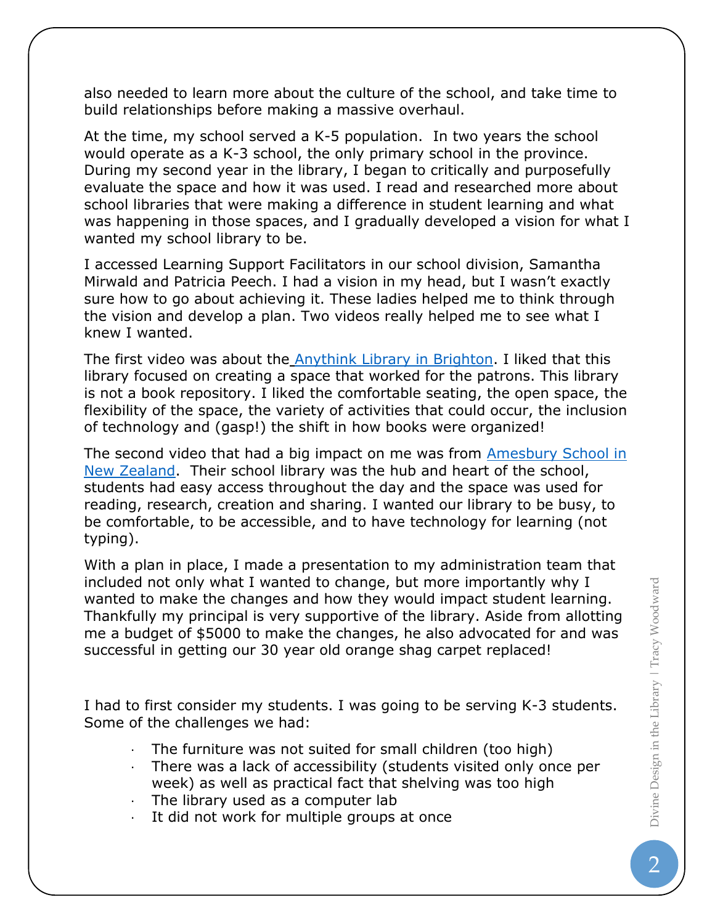also needed to learn more about the culture of the school, and take time to build relationships before making a massive overhaul.

At the time, my school served a K-5 population. In two years the school would operate as a K-3 school, the only primary school in the province. During my second year in the library, I began to critically and purposefully evaluate the space and how it was used. I read and researched more about school libraries that were making a difference in student learning and what was happening in those spaces, and I gradually developed a vision for what I wanted my school library to be.

I accessed Learning Support Facilitators in our school division, Samantha Mirwald and Patricia Peech. I had a vision in my head, but I wasn't exactly sure how to go about achieving it. These ladies helped me to think through the vision and develop a plan. Two videos really helped me to see what I knew I wanted.

The first video was about the **Anythink Library in Brighton**. I liked that this library focused on creating a space that worked for the patrons. This library is not a book repository. I liked the comfortable seating, the open space, the flexibility of the space, the variety of activities that could occur, the inclusion of technology and (gasp!) the shift in how books were organized!

The second video that had a big impact on me was from **Amesbury School in** [New Zealand.](https://www.youtube.com/watch?v=kqvPowlFJhI) Their school library was the hub and heart of the school, students had easy access throughout the day and the space was used for reading, research, creation and sharing. I wanted our library to be busy, to be comfortable, to be accessible, and to have technology for learning (not typing).

With a plan in place, I made a presentation to my administration team that included not only what I wanted to change, but more importantly why I wanted to make the changes and how they would impact student learning. Thankfully my principal is very supportive of the library. Aside from allotting me a budget of \$5000 to make the changes, he also advocated for and was successful in getting our 30 year old orange shag carpet replaced!

I had to first consider my students. I was going to be serving K-3 students. Some of the challenges we had:

- The furniture was not suited for small children (too high)
- · There was a lack of accessibility (students visited only once per week) as well as practical fact that shelving was too high
- The library used as a computer lab
- It did not work for multiple groups at once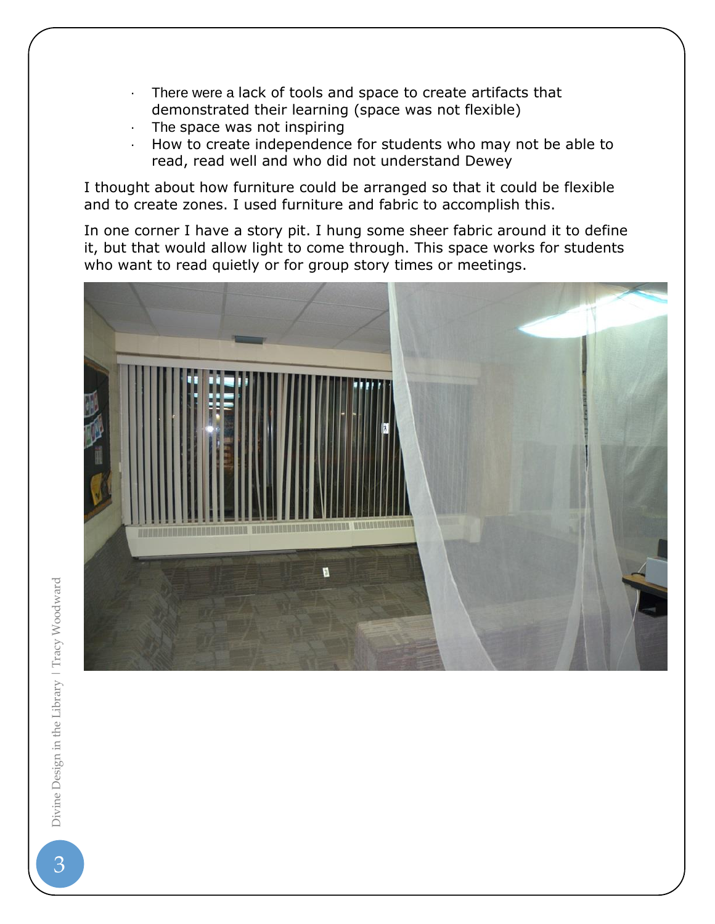- · There were a lack of tools and space to create artifacts that demonstrated their learning (space was not flexible)
- The space was not inspiring
- · How to create independence for students who may not be able to read, read well and who did not understand Dewey

I thought about how furniture could be arranged so that it could be flexible and to create zones. I used furniture and fabric to accomplish this.

In one corner I have a story pit. I hung some sheer fabric around it to define it, but that would allow light to come through. This space works for students who want to read quietly or for group story times or meetings.

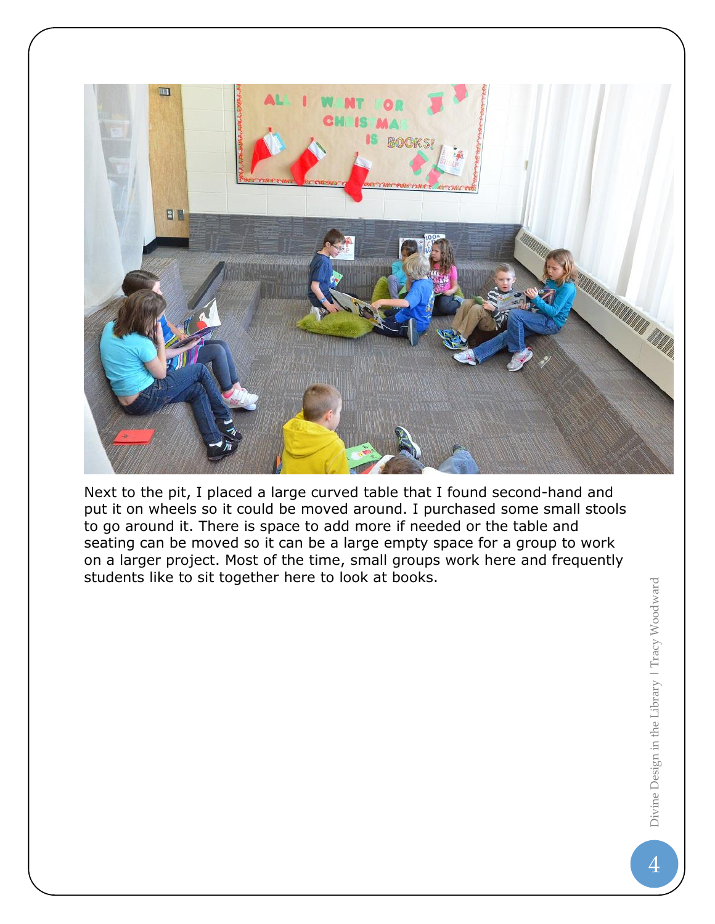

Next to the pit, I placed a large curved table that I found second-hand and put it on wheels so it could be moved around. I purchased some small stools to go around it. There is space to add more if needed or the table and seating can be moved so it can be a large empty space for a group to work on a larger project. Most of the time, small groups work here and frequently students like to sit together here to look at books.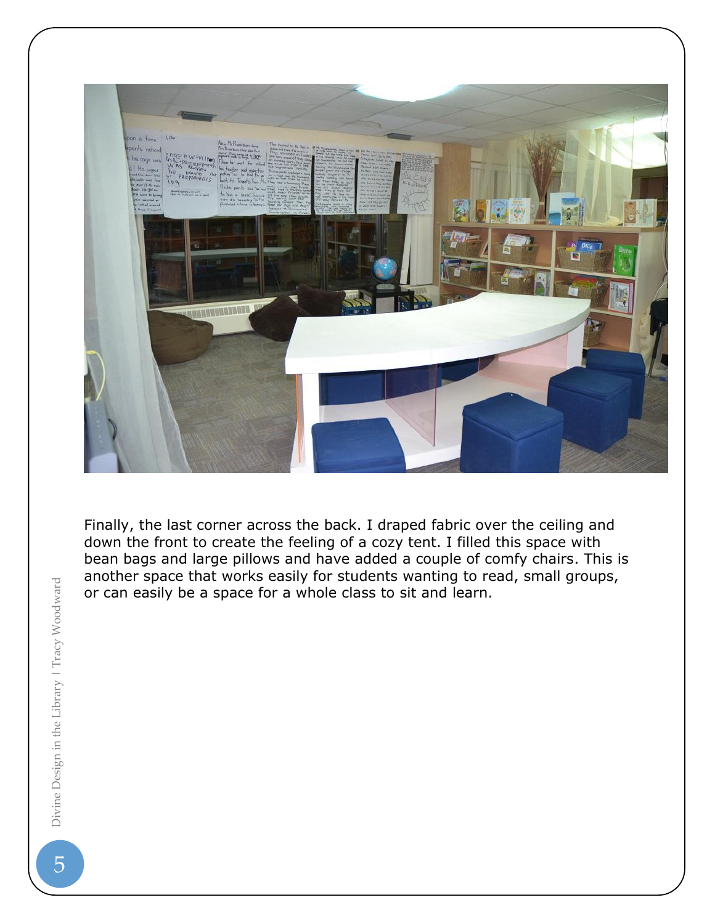

Finally, the last corner across the back. I draped fabric over the ceiling and down the front to create the feeling of a cozy tent. I filled this space with bean bags and large pillows and have added a couple of comfy chairs. This is another space that works easily for students wanting to read, small groups, or can easily be a space for a whole class to sit and learn.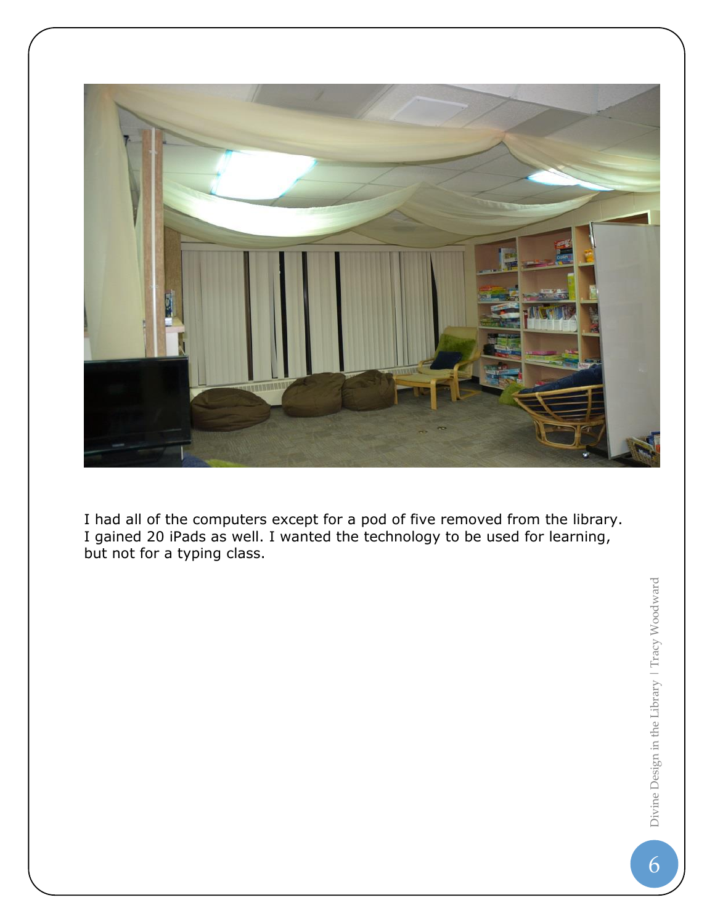

I had all of the computers except for a pod of five removed from the library. I gained 20 iPads as well. I wanted the technology to be used for learning, but not for a typing class.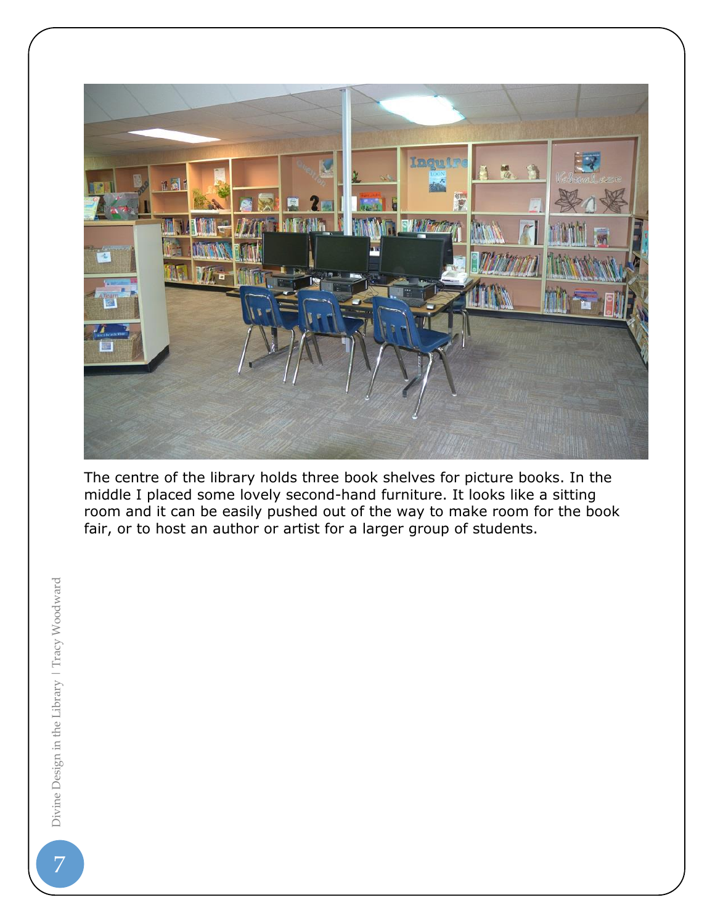

The centre of the library holds three book shelves for picture books. In the middle I placed some lovely second-hand furniture. It looks like a sitting room and it can be easily pushed out of the way to make room for the book fair, or to host an author or artist for a larger group of students.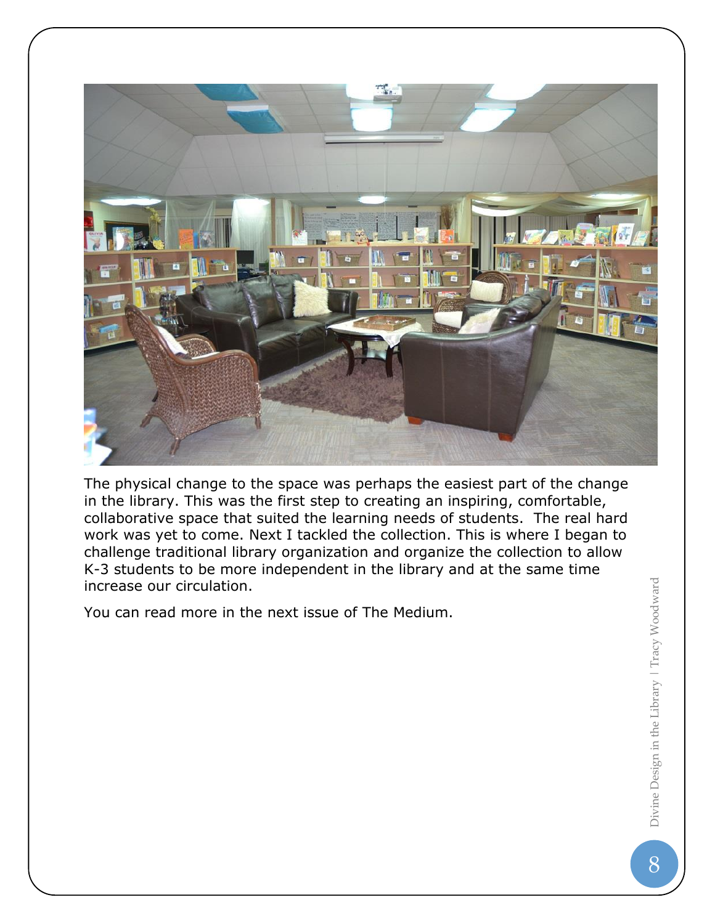

The physical change to the space was perhaps the easiest part of the change in the library. This was the first step to creating an inspiring, comfortable, collaborative space that suited the learning needs of students. The real hard work was yet to come. Next I tackled the collection. This is where I began to challenge traditional library organization and organize the collection to allow K-3 students to be more independent in the library and at the same time increase our circulation.

You can read more in the next issue of The Medium.